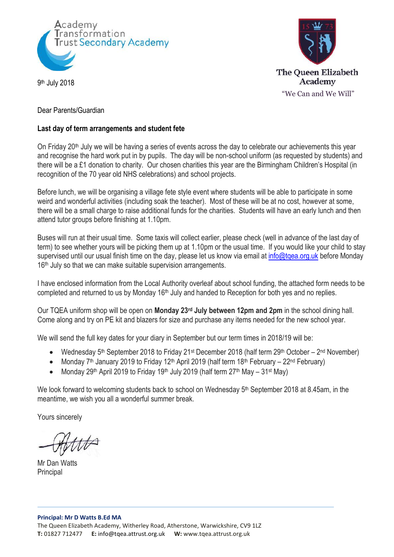



9 th July 2018

# Dear Parents/Guardian

# **Last day of term arrangements and student fete**

On Friday 20<sup>th</sup> July we will be having a series of events across the day to celebrate our achievements this year and recognise the hard work put in by pupils. The day will be non-school uniform (as requested by students) and there will be a £1 donation to charity. Our chosen charities this year are the Birmingham Children's Hospital (in recognition of the 70 year old NHS celebrations) and school projects.

Before lunch, we will be organising a village fete style event where students will be able to participate in some weird and wonderful activities (including soak the teacher). Most of these will be at no cost, however at some, there will be a small charge to raise additional funds for the charities. Students will have an early lunch and then attend tutor groups before finishing at 1.10pm.

Buses will run at their usual time. Some taxis will collect earlier, please check (well in advance of the last day of term) to see whether yours will be picking them up at 1.10pm or the usual time. If you would like your child to stay supervised until our usual finish time on the day, please let us know via email at info@tgea.org.uk before Monday 16<sup>th</sup> July so that we can make suitable supervision arrangements.

I have enclosed information from the Local Authority overleaf about school funding, the attached form needs to be completed and returned to us by Monday 16<sup>th</sup> July and handed to Reception for both yes and no replies.

Our TQEA uniform shop will be open on **Monday 23rd July between 12pm and 2pm** in the school dining hall. Come along and try on PE kit and blazers for size and purchase any items needed for the new school year.

We will send the full key dates for your diary in September but our term times in 2018/19 will be:

- Wednesday 5<sup>th</sup> September 2018 to Friday 21<sup>st</sup> December 2018 (half term 29<sup>th</sup> October 2<sup>nd</sup> November)
- Monday  $7<sup>th</sup>$  January 2019 to Friday 12<sup>th</sup> April 2019 (half term 18<sup>th</sup> February 22<sup>nd</sup> February)
- Monday 29<sup>th</sup> April 2019 to Friday 19<sup>th</sup> July 2019 (half term  $27<sup>th</sup>$  May  $31<sup>st</sup>$  May)

We look forward to welcoming students back to school on Wednesday 5<sup>th</sup> September 2018 at 8.45am, in the meantime, we wish you all a wonderful summer break.

Yours sincerely

Mr Dan Watts **Principal**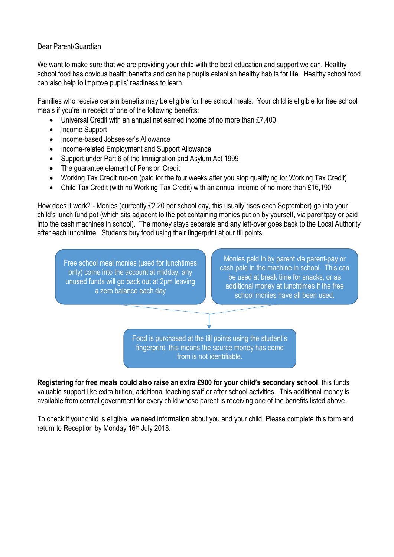#### Dear Parent/Guardian

We want to make sure that we are providing your child with the best education and support we can. Healthy school food has obvious health benefits and can help pupils establish healthy habits for life. Healthy school food can also help to improve pupils' readiness to learn.

Families who receive certain benefits may be eligible for free school meals. Your child is eligible for free school meals if you're in receipt of one of the following benefits:

- Universal Credit with an annual net earned income of no more than £7,400.
- Income Support
- Income-based Jobseeker's Allowance
- Income-related Employment and Support Allowance
- Support under Part 6 of the Immigration and Asylum Act 1999
- The guarantee element of Pension Credit
- Working Tax Credit run-on (paid for the four weeks after you stop qualifying for Working Tax Credit)
- Child Tax Credit (with no Working Tax Credit) with an annual income of no more than £16,190

How does it work? - Monies (currently £2.20 per school day, this usually rises each September) go into your child's lunch fund pot (which sits adjacent to the pot containing monies put on by yourself, via parentpay or paid into the cash machines in school). The money stays separate and any left-over goes back to the Local Authority after each lunchtime. Students buy food using their fingerprint at our till points.

Free school meal monies (used for lunchtimes only) come into the account at midday, any unused funds will go back out at 2pm leaving a zero balance each day

Monies paid in by parent via parent-pay or cash paid in the machine in school. This can be used at break time for snacks, or as additional money at lunchtimes if the free school monies have all been used.

Food is purchased at the till points using the student's fingerprint, this means the source money has come from is not identifiable.

**Registering for free meals could also raise an extra £900 for your child's secondary school**, this funds valuable support like extra tuition, additional teaching staff or after school activities. This additional money is available from central government for every child whose parent is receiving one of the benefits listed above.

To check if your child is eligible, we need information about you and your child. Please complete this form and return to Reception by Monday 16<sup>th</sup> July 2018.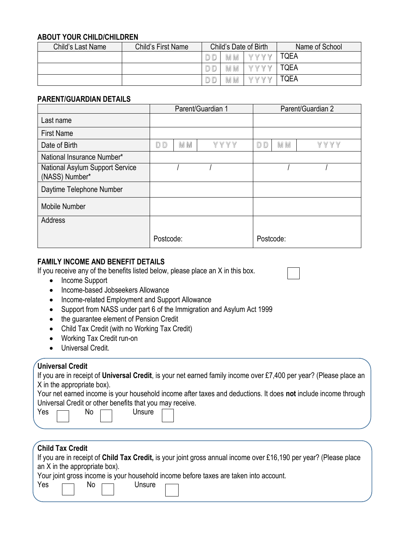#### **ABOUT YOUR CHILD/CHILDREN**

| Child's Last Name | Child's First Name | Child's Date of Birth |        |               | Name of School |
|-------------------|--------------------|-----------------------|--------|---------------|----------------|
|                   |                    |                       | M<br>M | WWW<br>V      | <b>TQEA</b>    |
|                   |                    |                       | M M    | <b>W</b><br>V | <b>TQEA</b>    |
|                   |                    |                       | M<br>M | <b>W</b><br>V | <b>TQEA</b>    |

#### **PARENT/GUARDIAN DETAILS**

|                                                   | Parent/Guardian 1 |     |      | Parent/Guardian 2 |     |      |
|---------------------------------------------------|-------------------|-----|------|-------------------|-----|------|
| Last name                                         |                   |     |      |                   |     |      |
| <b>First Name</b>                                 |                   |     |      |                   |     |      |
| Date of Birth                                     | D D               | M M | YYYY | DD                | M M | YYYY |
| National Insurance Number*                        |                   |     |      |                   |     |      |
| National Asylum Support Service<br>(NASS) Number* |                   |     |      |                   |     |      |
| Daytime Telephone Number                          |                   |     |      |                   |     |      |
| Mobile Number                                     |                   |     |      |                   |     |      |
| Address                                           |                   |     |      |                   |     |      |
|                                                   | Postcode:         |     |      | Postcode:         |     |      |

# **FAMILY INCOME AND BENEFIT DETAILS**

If you receive any of the benefits listed below, please place an X in this box.

- Income Support
- Income-based Jobseekers Allowance
- Income-related Employment and Support Allowance
- Support from NASS under part 6 of the Immigration and Asylum Act 1999
- the guarantee element of Pension Credit
- Child Tax Credit (with no Working Tax Credit)
- Working Tax Credit run-on
- **Universal Credit**

## **Universal Credit**

| If you are in receipt of Universal Credit, is your net earned family income over £7,400 per year? (Please place an |  |  |
|--------------------------------------------------------------------------------------------------------------------|--|--|
| X in the appropriate box).                                                                                         |  |  |

Your net earned income is your household income after taxes and deductions. It does **not** include income through Universal Credit or other benefits that you may receive.

| - - |  |
|-----|--|
|     |  |

| Yes | No | Unsure |
|-----|----|--------|
|     |    |        |

# **Child Tax Credit**

If you are in receipt of **Child Tax Credit,** is your joint gross annual income over £16,190 per year? (Please place an X in the appropriate box).

Your joint gross income is your household income before taxes are taken into account. **Unsure** 

| r es | INO. | ı |
|------|------|---|
|      |      |   |
|      |      |   |